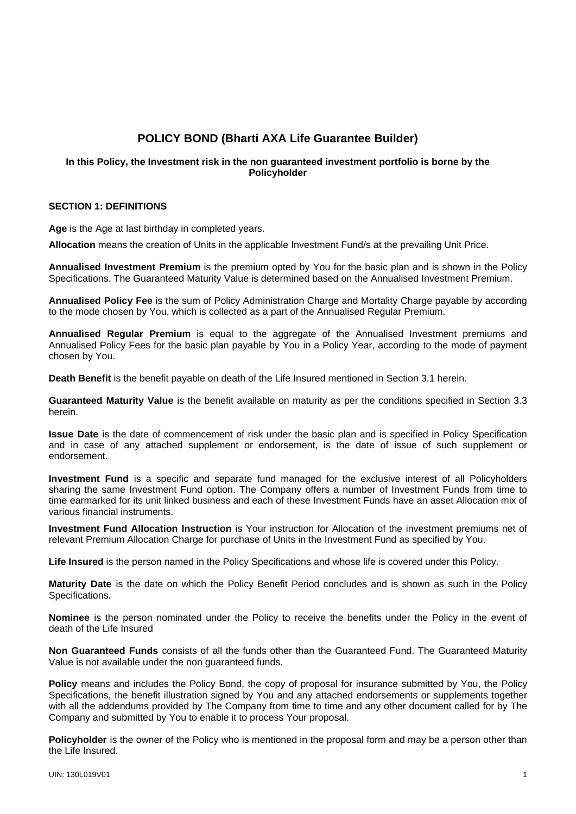# **POLICY BOND (Bharti AXA Life Guarantee Builder)**

### **In this Policy, the Investment risk in the non guaranteed investment portfolio is borne by the Policyholder**

# **SECTION 1: DEFINITIONS**

**Age** is the Age at last birthday in completed years.

**Allocation** means the creation of Units in the applicable Investment Fund/s at the prevailing Unit Price.

**Annualised Investment Premium** is the premium opted by You for the basic plan and is shown in the Policy Specifications. The Guaranteed Maturity Value is determined based on the Annualised Investment Premium.

**Annualised Policy Fee** is the sum of Policy Administration Charge and Mortality Charge payable by according to the mode chosen by You, which is collected as a part of the Annualised Regular Premium.

**Annualised Regular Premium** is equal to the aggregate of the Annualised Investment premiums and Annualised Policy Fees for the basic plan payable by You in a Policy Year, according to the mode of payment chosen by You.

**Death Benefit** is the benefit payable on death of the Life Insured mentioned in Section 3.1 herein.

**Guaranteed Maturity Value** is the benefit available on maturity as per the conditions specified in Section 3.3 herein.

**Issue Date** is the date of commencement of risk under the basic plan and is specified in Policy Specification and in case of any attached supplement or endorsement, is the date of issue of such supplement or endorsement.

**Investment Fund** is a specific and separate fund managed for the exclusive interest of all Policyholders sharing the same Investment Fund option. The Company offers a number of Investment Funds from time to time earmarked for its unit linked business and each of these Investment Funds have an asset Allocation mix of various financial instruments.

**Investment Fund Allocation Instruction** is Your instruction for Allocation of the investment premiums net of relevant Premium Allocation Charge for purchase of Units in the Investment Fund as specified by You.

**Life Insured** is the person named in the Policy Specifications and whose life is covered under this Policy.

**Maturity Date** is the date on which the Policy Benefit Period concludes and is shown as such in the Policy Specifications.

**Nominee** is the person nominated under the Policy to receive the benefits under the Policy in the event of death of the Life Insured

**Non Guaranteed Funds** consists of all the funds other than the Guaranteed Fund. The Guaranteed Maturity Value is not available under the non guaranteed funds.

Policy means and includes the Policy Bond, the copy of proposal for insurance submitted by You, the Policy Specifications, the benefit illustration signed by You and any attached endorsements or supplements together with all the addendums provided by The Company from time to time and any other document called for by The Company and submitted by You to enable it to process Your proposal.

Policyholder is the owner of the Policy who is mentioned in the proposal form and may be a person other than the Life Insured.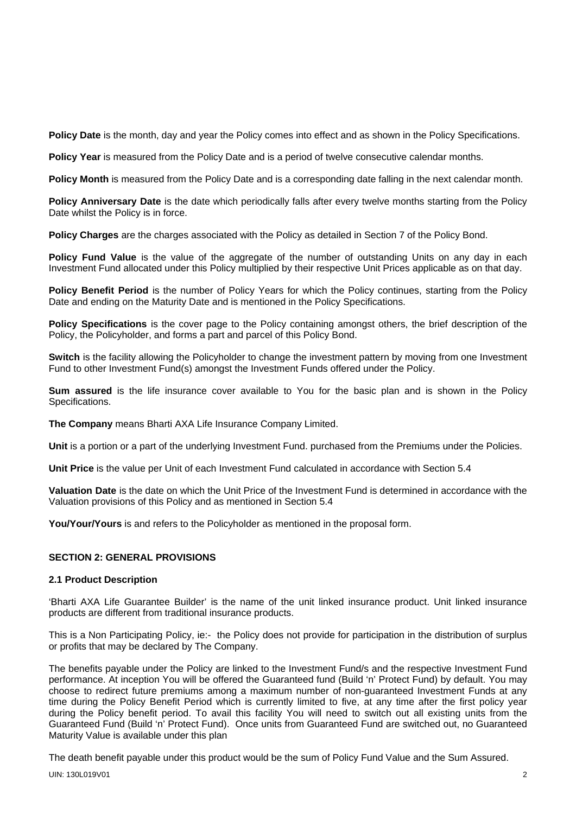**Policy Date** is the month, day and year the Policy comes into effect and as shown in the Policy Specifications.

**Policy Year** is measured from the Policy Date and is a period of twelve consecutive calendar months.

**Policy Month** is measured from the Policy Date and is a corresponding date falling in the next calendar month.

**Policy Anniversary Date** is the date which periodically falls after every twelve months starting from the Policy Date whilst the Policy is in force.

**Policy Charges** are the charges associated with the Policy as detailed in Section 7 of the Policy Bond.

**Policy Fund Value** is the value of the aggregate of the number of outstanding Units on any day in each Investment Fund allocated under this Policy multiplied by their respective Unit Prices applicable as on that day.

**Policy Benefit Period** is the number of Policy Years for which the Policy continues, starting from the Policy Date and ending on the Maturity Date and is mentioned in the Policy Specifications.

**Policy Specifications** is the cover page to the Policy containing amongst others, the brief description of the Policy, the Policyholder, and forms a part and parcel of this Policy Bond.

**Switch** is the facility allowing the Policyholder to change the investment pattern by moving from one Investment Fund to other Investment Fund(s) amongst the Investment Funds offered under the Policy.

**Sum assured** is the life insurance cover available to You for the basic plan and is shown in the Policy Specifications.

**The Company** means Bharti AXA Life Insurance Company Limited.

**Unit** is a portion or a part of the underlying Investment Fund. purchased from the Premiums under the Policies.

**Unit Price** is the value per Unit of each Investment Fund calculated in accordance with Section 5.4

**Valuation Date** is the date on which the Unit Price of the Investment Fund is determined in accordance with the Valuation provisions of this Policy and as mentioned in Section 5.4

**You/Your/Yours** is and refers to the Policyholder as mentioned in the proposal form.

# **SECTION 2: GENERAL PROVISIONS**

### **2.1 Product Description**

'Bharti AXA Life Guarantee Builder' is the name of the unit linked insurance product. Unit linked insurance products are different from traditional insurance products.

This is a Non Participating Policy, ie:- the Policy does not provide for participation in the distribution of surplus or profits that may be declared by The Company.

The benefits payable under the Policy are linked to the Investment Fund/s and the respective Investment Fund performance. At inception You will be offered the Guaranteed fund (Build 'n' Protect Fund) by default. You may choose to redirect future premiums among a maximum number of non-guaranteed Investment Funds at any time during the Policy Benefit Period which is currently limited to five, at any time after the first policy year during the Policy benefit period. To avail this facility You will need to switch out all existing units from the Guaranteed Fund (Build 'n' Protect Fund). Once units from Guaranteed Fund are switched out, no Guaranteed Maturity Value is available under this plan

The death benefit payable under this product would be the sum of Policy Fund Value and the Sum Assured.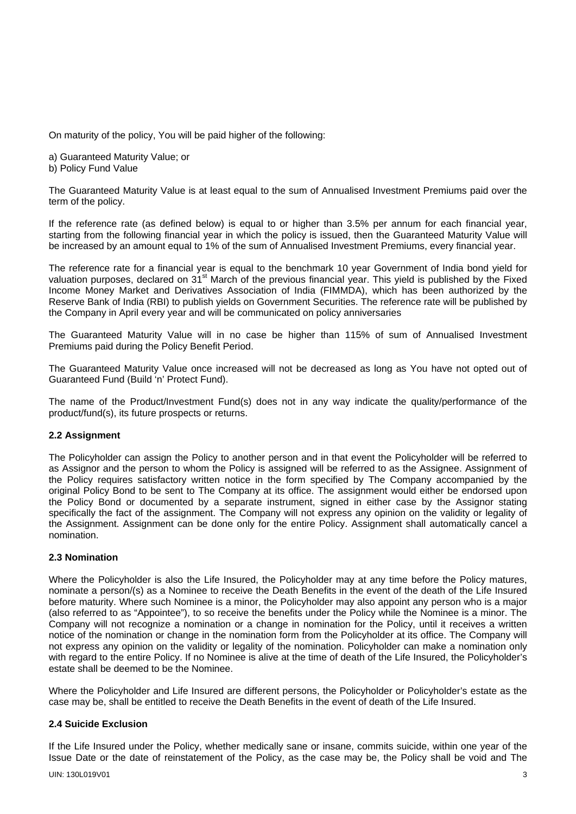On maturity of the policy, You will be paid higher of the following:

- a) Guaranteed Maturity Value; or
- b) Policy Fund Value

The Guaranteed Maturity Value is at least equal to the sum of Annualised Investment Premiums paid over the term of the policy.

If the reference rate (as defined below) is equal to or higher than 3.5% per annum for each financial year, starting from the following financial year in which the policy is issued, then the Guaranteed Maturity Value will be increased by an amount equal to 1% of the sum of Annualised Investment Premiums, every financial year.

The reference rate for a financial year is equal to the benchmark 10 year Government of India bond yield for valuation purposes, declared on 31<sup>st</sup> March of the previous financial year. This yield is published by the Fixed Income Money Market and Derivatives Association of India (FIMMDA), which has been authorized by the Reserve Bank of India (RBI) to publish yields on Government Securities. The reference rate will be published by the Company in April every year and will be communicated on policy anniversaries

The Guaranteed Maturity Value will in no case be higher than 115% of sum of Annualised Investment Premiums paid during the Policy Benefit Period.

The Guaranteed Maturity Value once increased will not be decreased as long as You have not opted out of Guaranteed Fund (Build 'n' Protect Fund).

The name of the Product/Investment Fund(s) does not in any way indicate the quality/performance of the product/fund(s), its future prospects or returns.

### **2.2 Assignment**

The Policyholder can assign the Policy to another person and in that event the Policyholder will be referred to as Assignor and the person to whom the Policy is assigned will be referred to as the Assignee. Assignment of the Policy requires satisfactory written notice in the form specified by The Company accompanied by the original Policy Bond to be sent to The Company at its office. The assignment would either be endorsed upon the Policy Bond or documented by a separate instrument, signed in either case by the Assignor stating specifically the fact of the assignment. The Company will not express any opinion on the validity or legality of the Assignment. Assignment can be done only for the entire Policy. Assignment shall automatically cancel a nomination.

### **2.3 Nomination**

Where the Policyholder is also the Life Insured, the Policyholder may at any time before the Policy matures, nominate a person/(s) as a Nominee to receive the Death Benefits in the event of the death of the Life Insured before maturity. Where such Nominee is a minor, the Policyholder may also appoint any person who is a major (also referred to as "Appointee"), to so receive the benefits under the Policy while the Nominee is a minor. The Company will not recognize a nomination or a change in nomination for the Policy, until it receives a written notice of the nomination or change in the nomination form from the Policyholder at its office. The Company will not express any opinion on the validity or legality of the nomination. Policyholder can make a nomination only with regard to the entire Policy. If no Nominee is alive at the time of death of the Life Insured, the Policyholder's estate shall be deemed to be the Nominee.

Where the Policyholder and Life Insured are different persons, the Policyholder or Policyholder's estate as the case may be, shall be entitled to receive the Death Benefits in the event of death of the Life Insured.

# **2.4 Suicide Exclusion**

If the Life Insured under the Policy, whether medically sane or insane, commits suicide, within one year of the Issue Date or the date of reinstatement of the Policy, as the case may be, the Policy shall be void and The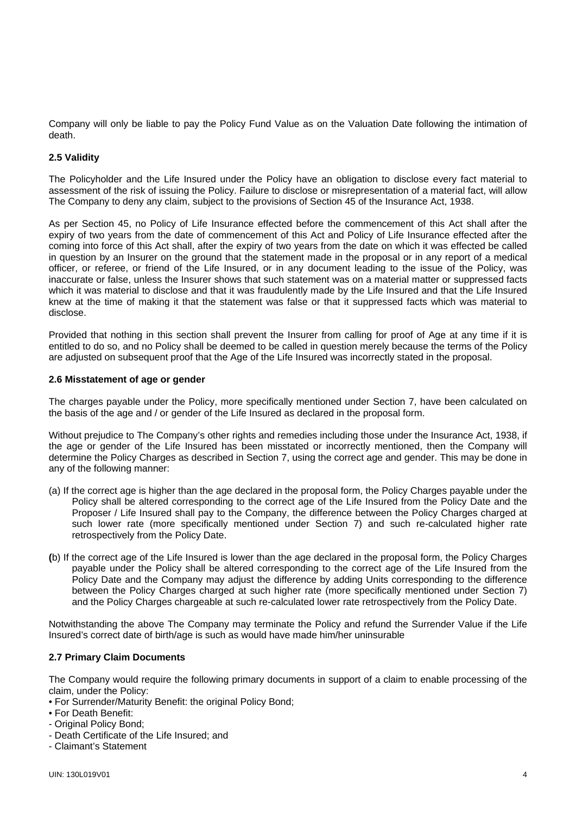Company will only be liable to pay the Policy Fund Value as on the Valuation Date following the intimation of death.

# **2.5 Validity**

The Policyholder and the Life Insured under the Policy have an obligation to disclose every fact material to assessment of the risk of issuing the Policy. Failure to disclose or misrepresentation of a material fact, will allow The Company to deny any claim, subject to the provisions of Section 45 of the Insurance Act, 1938.

As per Section 45, no Policy of Life Insurance effected before the commencement of this Act shall after the expiry of two years from the date of commencement of this Act and Policy of Life Insurance effected after the coming into force of this Act shall, after the expiry of two years from the date on which it was effected be called in question by an Insurer on the ground that the statement made in the proposal or in any report of a medical officer, or referee, or friend of the Life Insured, or in any document leading to the issue of the Policy, was inaccurate or false, unless the Insurer shows that such statement was on a material matter or suppressed facts which it was material to disclose and that it was fraudulently made by the Life Insured and that the Life Insured knew at the time of making it that the statement was false or that it suppressed facts which was material to disclose.

Provided that nothing in this section shall prevent the Insurer from calling for proof of Age at any time if it is entitled to do so, and no Policy shall be deemed to be called in question merely because the terms of the Policy are adjusted on subsequent proof that the Age of the Life Insured was incorrectly stated in the proposal.

### **2.6 Misstatement of age or gender**

The charges payable under the Policy, more specifically mentioned under Section 7, have been calculated on the basis of the age and / or gender of the Life Insured as declared in the proposal form.

Without prejudice to The Company's other rights and remedies including those under the Insurance Act, 1938, if the age or gender of the Life Insured has been misstated or incorrectly mentioned, then the Company will determine the Policy Charges as described in Section 7, using the correct age and gender. This may be done in any of the following manner:

- (a) If the correct age is higher than the age declared in the proposal form, the Policy Charges payable under the Policy shall be altered corresponding to the correct age of the Life Insured from the Policy Date and the Proposer / Life Insured shall pay to the Company, the difference between the Policy Charges charged at such lower rate (more specifically mentioned under Section 7) and such re-calculated higher rate retrospectively from the Policy Date.
- **(**b) If the correct age of the Life Insured is lower than the age declared in the proposal form, the Policy Charges payable under the Policy shall be altered corresponding to the correct age of the Life Insured from the Policy Date and the Company may adjust the difference by adding Units corresponding to the difference between the Policy Charges charged at such higher rate (more specifically mentioned under Section 7) and the Policy Charges chargeable at such re-calculated lower rate retrospectively from the Policy Date.

Notwithstanding the above The Company may terminate the Policy and refund the Surrender Value if the Life Insured's correct date of birth/age is such as would have made him/her uninsurable

# **2.7 Primary Claim Documents**

The Company would require the following primary documents in support of a claim to enable processing of the claim, under the Policy:

- For Surrender/Maturity Benefit: the original Policy Bond;
- For Death Benefit:
- Original Policy Bond;
- Death Certificate of the Life Insured; and
- Claimant's Statement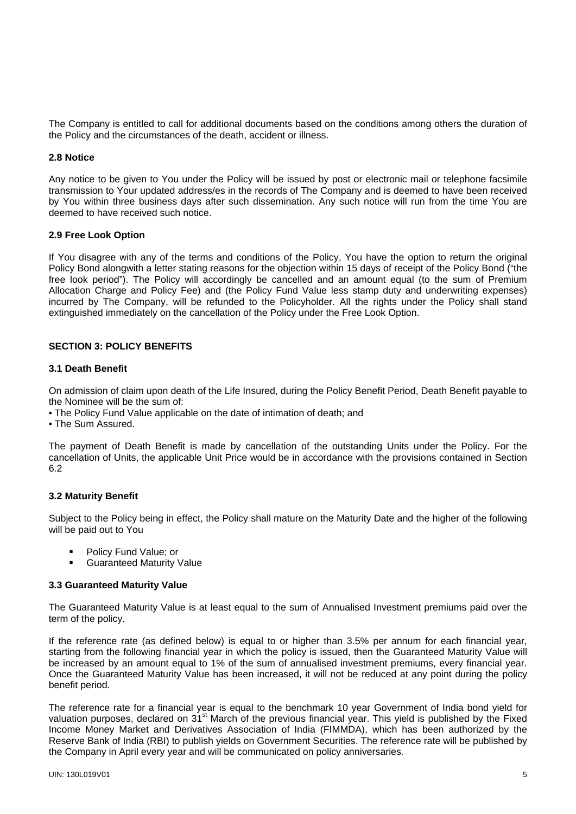The Company is entitled to call for additional documents based on the conditions among others the duration of the Policy and the circumstances of the death, accident or illness.

### **2.8 Notice**

Any notice to be given to You under the Policy will be issued by post or electronic mail or telephone facsimile transmission to Your updated address/es in the records of The Company and is deemed to have been received by You within three business days after such dissemination. Any such notice will run from the time You are deemed to have received such notice.

### **2.9 Free Look Option**

If You disagree with any of the terms and conditions of the Policy, You have the option to return the original Policy Bond alongwith a letter stating reasons for the objection within 15 days of receipt of the Policy Bond ("the free look period"). The Policy will accordingly be cancelled and an amount equal (to the sum of Premium Allocation Charge and Policy Fee) and (the Policy Fund Value less stamp duty and underwriting expenses) incurred by The Company, will be refunded to the Policyholder. All the rights under the Policy shall stand extinguished immediately on the cancellation of the Policy under the Free Look Option.

# **SECTION 3: POLICY BENEFITS**

### **3.1 Death Benefit**

On admission of claim upon death of the Life Insured, during the Policy Benefit Period, Death Benefit payable to the Nominee will be the sum of:

• The Policy Fund Value applicable on the date of intimation of death; and

• The Sum Assured.

The payment of Death Benefit is made by cancellation of the outstanding Units under the Policy. For the cancellation of Units, the applicable Unit Price would be in accordance with the provisions contained in Section 6.2

### **3.2 Maturity Benefit**

Subject to the Policy being in effect, the Policy shall mature on the Maturity Date and the higher of the following will be paid out to You

- **Policy Fund Value; or**
- Guaranteed Maturity Value

### **3.3 Guaranteed Maturity Value**

The Guaranteed Maturity Value is at least equal to the sum of Annualised Investment premiums paid over the term of the policy.

If the reference rate (as defined below) is equal to or higher than 3.5% per annum for each financial year, starting from the following financial year in which the policy is issued, then the Guaranteed Maturity Value will be increased by an amount equal to 1% of the sum of annualised investment premiums, every financial year. Once the Guaranteed Maturity Value has been increased, it will not be reduced at any point during the policy benefit period.

The reference rate for a financial year is equal to the benchmark 10 year Government of India bond yield for valuation purposes, declared on 31<sup>st</sup> March of the previous financial year. This yield is published by the Fixed Income Money Market and Derivatives Association of India (FIMMDA), which has been authorized by the Reserve Bank of India (RBI) to publish yields on Government Securities. The reference rate will be published by the Company in April every year and will be communicated on policy anniversaries*.*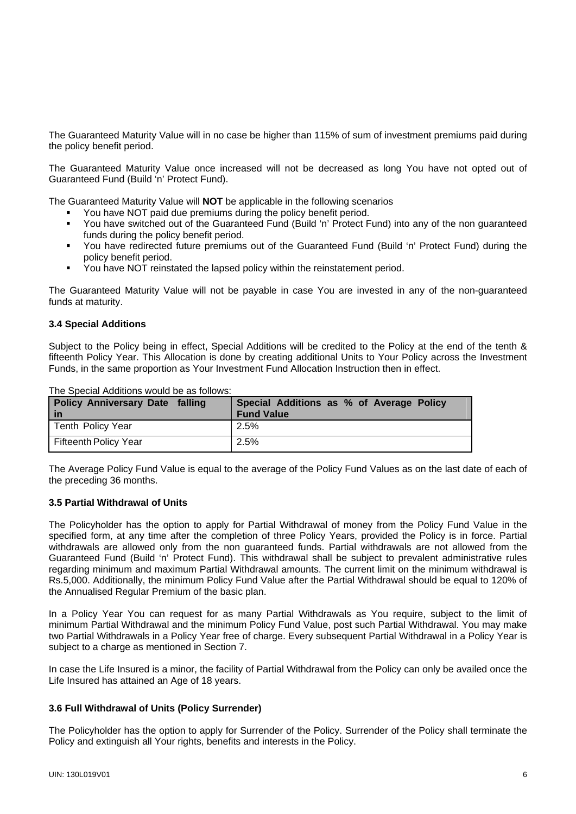The Guaranteed Maturity Value will in no case be higher than 115% of sum of investment premiums paid during the policy benefit period.

The Guaranteed Maturity Value once increased will not be decreased as long You have not opted out of Guaranteed Fund (Build 'n' Protect Fund).

The Guaranteed Maturity Value will **NOT** be applicable in the following scenarios

- You have NOT paid due premiums during the policy benefit period.
- You have switched out of the Guaranteed Fund (Build 'n' Protect Fund) into any of the non guaranteed funds during the policy benefit period.
- You have redirected future premiums out of the Guaranteed Fund (Build 'n' Protect Fund) during the policy benefit period.
- You have NOT reinstated the lapsed policy within the reinstatement period.

The Guaranteed Maturity Value will not be payable in case You are invested in any of the non-guaranteed funds at maturity.

### **3.4 Special Additions**

Subject to the Policy being in effect, Special Additions will be credited to the Policy at the end of the tenth & fifteenth Policy Year. This Allocation is done by creating additional Units to Your Policy across the Investment Funds, in the same proportion as Your Investment Fund Allocation Instruction then in effect.

| <b>Policy Anniversary Date falling</b><br>-in | Special Additions as % of Average Policy<br><b>Fund Value</b> |
|-----------------------------------------------|---------------------------------------------------------------|
| <b>Tenth Policy Year</b>                      | 2.5%                                                          |
| <b>Fifteenth Policy Year</b>                  | 2.5%                                                          |

The Special Additions would be as follows:

The Average Policy Fund Value is equal to the average of the Policy Fund Values as on the last date of each of the preceding 36 months.

### **3.5 Partial Withdrawal of Units**

The Policyholder has the option to apply for Partial Withdrawal of money from the Policy Fund Value in the specified form, at any time after the completion of three Policy Years, provided the Policy is in force. Partial withdrawals are allowed only from the non guaranteed funds. Partial withdrawals are not allowed from the Guaranteed Fund (Build 'n' Protect Fund). This withdrawal shall be subject to prevalent administrative rules regarding minimum and maximum Partial Withdrawal amounts. The current limit on the minimum withdrawal is Rs.5,000. Additionally, the minimum Policy Fund Value after the Partial Withdrawal should be equal to 120% of the Annualised Regular Premium of the basic plan.

In a Policy Year You can request for as many Partial Withdrawals as You require, subject to the limit of minimum Partial Withdrawal and the minimum Policy Fund Value, post such Partial Withdrawal. You may make two Partial Withdrawals in a Policy Year free of charge. Every subsequent Partial Withdrawal in a Policy Year is subject to a charge as mentioned in Section 7.

In case the Life Insured is a minor, the facility of Partial Withdrawal from the Policy can only be availed once the Life Insured has attained an Age of 18 years.

# **3.6 Full Withdrawal of Units (Policy Surrender)**

The Policyholder has the option to apply for Surrender of the Policy. Surrender of the Policy shall terminate the Policy and extinguish all Your rights, benefits and interests in the Policy.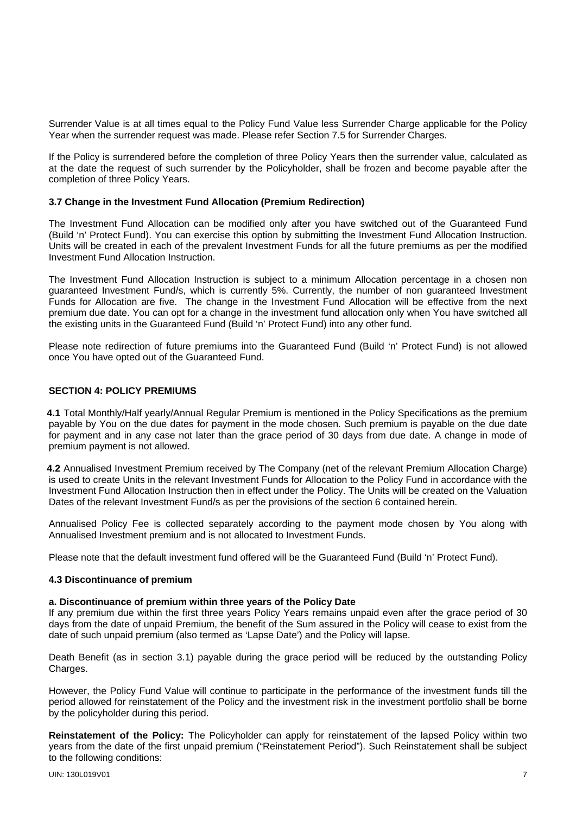Surrender Value is at all times equal to the Policy Fund Value less Surrender Charge applicable for the Policy Year when the surrender request was made. Please refer Section 7.5 for Surrender Charges.

If the Policy is surrendered before the completion of three Policy Years then the surrender value, calculated as at the date the request of such surrender by the Policyholder, shall be frozen and become payable after the completion of three Policy Years.

### **3.7 Change in the Investment Fund Allocation (Premium Redirection)**

The Investment Fund Allocation can be modified only after you have switched out of the Guaranteed Fund (Build 'n' Protect Fund). You can exercise this option by submitting the Investment Fund Allocation Instruction. Units will be created in each of the prevalent Investment Funds for all the future premiums as per the modified Investment Fund Allocation Instruction.

The Investment Fund Allocation Instruction is subject to a minimum Allocation percentage in a chosen non guaranteed Investment Fund/s, which is currently 5%. Currently, the number of non guaranteed Investment Funds for Allocation are five. The change in the Investment Fund Allocation will be effective from the next premium due date. You can opt for a change in the investment fund allocation only when You have switched all the existing units in the Guaranteed Fund (Build 'n' Protect Fund) into any other fund.

Please note redirection of future premiums into the Guaranteed Fund (Build 'n' Protect Fund) is not allowed once You have opted out of the Guaranteed Fund.

### **SECTION 4: POLICY PREMIUMS**

 **4.1** Total Monthly/Half yearly/Annual Regular Premium is mentioned in the Policy Specifications as the premium payable by You on the due dates for payment in the mode chosen. Such premium is payable on the due date for payment and in any case not later than the grace period of 30 days from due date. A change in mode of premium payment is not allowed.

 **4.2** Annualised Investment Premium received by The Company (net of the relevant Premium Allocation Charge) is used to create Units in the relevant Investment Funds for Allocation to the Policy Fund in accordance with the Investment Fund Allocation Instruction then in effect under the Policy. The Units will be created on the Valuation Dates of the relevant Investment Fund/s as per the provisions of the section 6 contained herein.

Annualised Policy Fee is collected separately according to the payment mode chosen by You along with Annualised Investment premium and is not allocated to Investment Funds.

Please note that the default investment fund offered will be the Guaranteed Fund (Build 'n' Protect Fund).

### **4.3 Discontinuance of premium**

### **a. Discontinuance of premium within three years of the Policy Date**

If any premium due within the first three years Policy Years remains unpaid even after the grace period of 30 days from the date of unpaid Premium, the benefit of the Sum assured in the Policy will cease to exist from the date of such unpaid premium (also termed as 'Lapse Date') and the Policy will lapse.

Death Benefit (as in section 3.1) payable during the grace period will be reduced by the outstanding Policy Charges.

However, the Policy Fund Value will continue to participate in the performance of the investment funds till the period allowed for reinstatement of the Policy and the investment risk in the investment portfolio shall be borne by the policyholder during this period.

**Reinstatement of the Policy:** The Policyholder can apply for reinstatement of the lapsed Policy within two years from the date of the first unpaid premium ("Reinstatement Period"). Such Reinstatement shall be subject to the following conditions: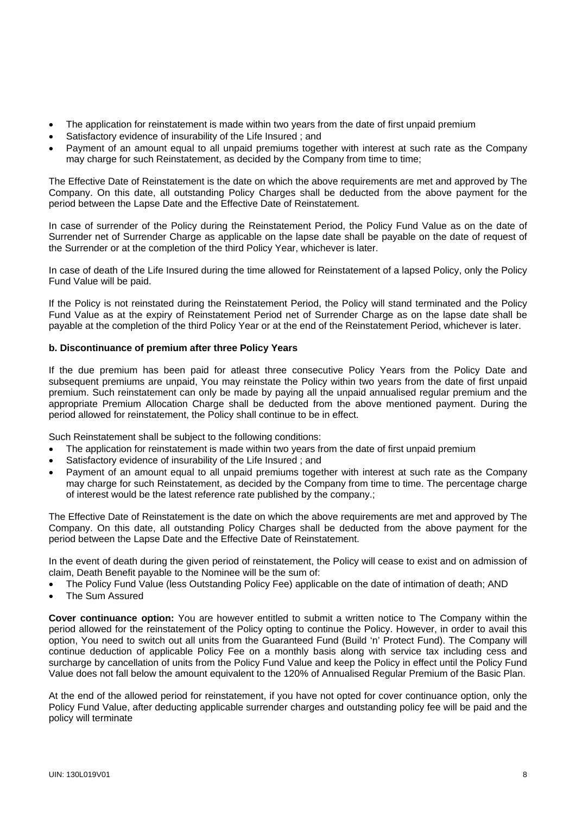- The application for reinstatement is made within two years from the date of first unpaid premium
- Satisfactory evidence of insurability of the Life Insured; and
- Payment of an amount equal to all unpaid premiums together with interest at such rate as the Company may charge for such Reinstatement, as decided by the Company from time to time;

The Effective Date of Reinstatement is the date on which the above requirements are met and approved by The Company. On this date, all outstanding Policy Charges shall be deducted from the above payment for the period between the Lapse Date and the Effective Date of Reinstatement.

In case of surrender of the Policy during the Reinstatement Period, the Policy Fund Value as on the date of Surrender net of Surrender Charge as applicable on the lapse date shall be payable on the date of request of the Surrender or at the completion of the third Policy Year, whichever is later.

In case of death of the Life Insured during the time allowed for Reinstatement of a lapsed Policy, only the Policy Fund Value will be paid.

If the Policy is not reinstated during the Reinstatement Period, the Policy will stand terminated and the Policy Fund Value as at the expiry of Reinstatement Period net of Surrender Charge as on the lapse date shall be payable at the completion of the third Policy Year or at the end of the Reinstatement Period, whichever is later.

# **b. Discontinuance of premium after three Policy Years**

If the due premium has been paid for atleast three consecutive Policy Years from the Policy Date and subsequent premiums are unpaid, You may reinstate the Policy within two years from the date of first unpaid premium. Such reinstatement can only be made by paying all the unpaid annualised regular premium and the appropriate Premium Allocation Charge shall be deducted from the above mentioned payment. During the period allowed for reinstatement, the Policy shall continue to be in effect.

Such Reinstatement shall be subject to the following conditions:

- The application for reinstatement is made within two years from the date of first unpaid premium
- Satisfactory evidence of insurability of the Life Insured ; and
- Payment of an amount equal to all unpaid premiums together with interest at such rate as the Company may charge for such Reinstatement, as decided by the Company from time to time. The percentage charge of interest would be the latest reference rate published by the company.;

The Effective Date of Reinstatement is the date on which the above requirements are met and approved by The Company. On this date, all outstanding Policy Charges shall be deducted from the above payment for the period between the Lapse Date and the Effective Date of Reinstatement.

In the event of death during the given period of reinstatement, the Policy will cease to exist and on admission of claim, Death Benefit payable to the Nominee will be the sum of:

- The Policy Fund Value (less Outstanding Policy Fee) applicable on the date of intimation of death; AND
- The Sum Assured

**Cover continuance option:** You are however entitled to submit a written notice to The Company within the period allowed for the reinstatement of the Policy opting to continue the Policy. However, in order to avail this option, You need to switch out all units from the Guaranteed Fund (Build 'n' Protect Fund). The Company will continue deduction of applicable Policy Fee on a monthly basis along with service tax including cess and surcharge by cancellation of units from the Policy Fund Value and keep the Policy in effect until the Policy Fund Value does not fall below the amount equivalent to the 120% of Annualised Regular Premium of the Basic Plan.

At the end of the allowed period for reinstatement, if you have not opted for cover continuance option, only the Policy Fund Value, after deducting applicable surrender charges and outstanding policy fee will be paid and the policy will terminate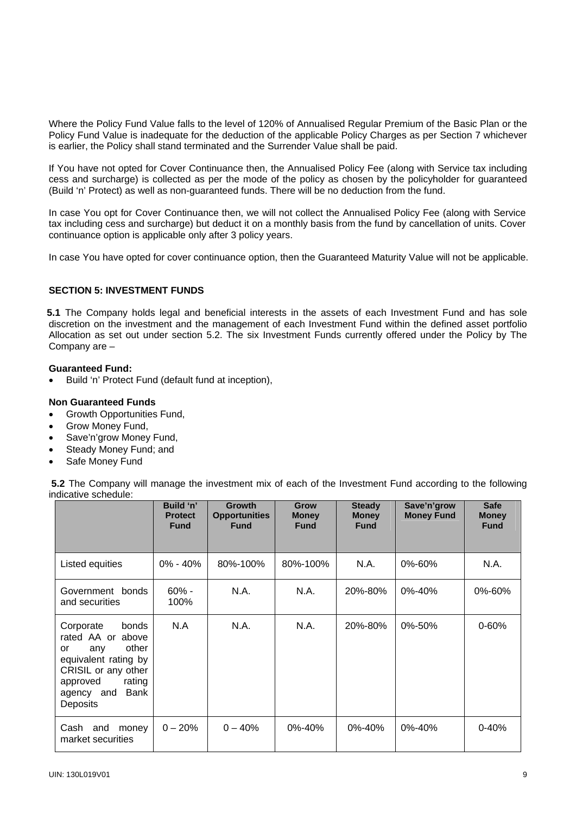Where the Policy Fund Value falls to the level of 120% of Annualised Regular Premium of the Basic Plan or the Policy Fund Value is inadequate for the deduction of the applicable Policy Charges as per Section 7 whichever is earlier, the Policy shall stand terminated and the Surrender Value shall be paid.

If You have not opted for Cover Continuance then, the Annualised Policy Fee (along with Service tax including cess and surcharge) is collected as per the mode of the policy as chosen by the policyholder for guaranteed (Build 'n' Protect) as well as non-guaranteed funds. There will be no deduction from the fund.

In case You opt for Cover Continuance then, we will not collect the Annualised Policy Fee (along with Service tax including cess and surcharge) but deduct it on a monthly basis from the fund by cancellation of units. Cover continuance option is applicable only after 3 policy years.

In case You have opted for cover continuance option, then the Guaranteed Maturity Value will not be applicable.

# **SECTION 5: INVESTMENT FUNDS**

 **5.1** The Company holds legal and beneficial interests in the assets of each Investment Fund and has sole discretion on the investment and the management of each Investment Fund within the defined asset portfolio Allocation as set out under section 5.2. The six Investment Funds currently offered under the Policy by The Company are –

### **Guaranteed Fund:**

• Build 'n' Protect Fund (default fund at inception),

### **Non Guaranteed Funds**

- Growth Opportunities Fund,
- Grow Money Fund,
- Save'n'grow Money Fund,
- Steady Money Fund; and
- Safe Money Fund

 **5.2** The Company will manage the investment mix of each of the Investment Fund according to the following indicative schedule:

|                                                                                                                                                                         | Build 'n'<br><b>Protect</b><br><b>Fund</b> | <b>Growth</b><br><b>Opportunities</b><br><b>Fund</b> | Grow<br><b>Money</b><br><b>Fund</b> | <b>Steady</b><br><b>Money</b><br><b>Fund</b> | Save'n'grow<br><b>Money Fund</b> | <b>Safe</b><br><b>Money</b><br><b>Fund</b> |
|-------------------------------------------------------------------------------------------------------------------------------------------------------------------------|--------------------------------------------|------------------------------------------------------|-------------------------------------|----------------------------------------------|----------------------------------|--------------------------------------------|
|                                                                                                                                                                         |                                            |                                                      |                                     |                                              |                                  |                                            |
| Listed equities                                                                                                                                                         | $0\% - 40\%$                               | 80%-100%                                             | 80%-100%                            | N.A.                                         | 0%-60%                           | N.A.                                       |
| Government bonds<br>and securities                                                                                                                                      | $60\%$ -<br>100%                           | N.A.                                                 | N.A.                                | 20%-80%                                      | 0%-40%                           | 0%-60%                                     |
| Corporate<br>bonds<br>rated AA or<br>above<br>other<br>any<br>or<br>equivalent rating by<br>CRISIL or any other<br>approved<br>rating<br>Bank<br>agency and<br>Deposits | N.A                                        | N.A.                                                 | N.A.                                | 20%-80%                                      | $0\% - 50\%$                     | $0 - 60%$                                  |
| Cash and<br>money<br>market securities                                                                                                                                  | $0 - 20%$                                  | $0 - 40%$                                            | 0%-40%                              | $0\% - 40\%$                                 | 0%-40%                           | $0 - 40%$                                  |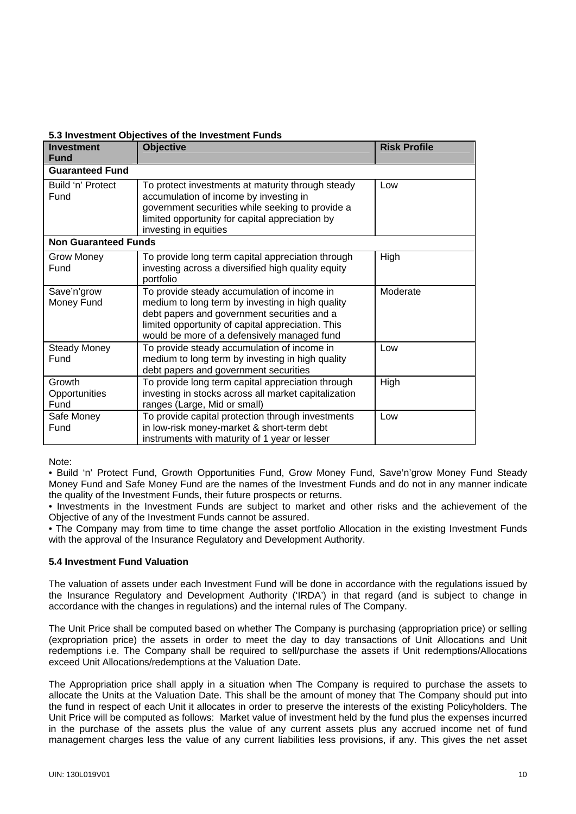### **5.3 Investment Objectives of the Investment Funds**

| <b>Investment</b><br><b>Fund</b> | <b>Objective</b>                                                                                                                                                                                                                                   | <b>Risk Profile</b> |
|----------------------------------|----------------------------------------------------------------------------------------------------------------------------------------------------------------------------------------------------------------------------------------------------|---------------------|
| <b>Guaranteed Fund</b>           |                                                                                                                                                                                                                                                    |                     |
| Build 'n' Protect<br>Fund        | To protect investments at maturity through steady<br>accumulation of income by investing in<br>government securities while seeking to provide a<br>limited opportunity for capital appreciation by<br>investing in equities                        | Low                 |
| <b>Non Guaranteed Funds</b>      |                                                                                                                                                                                                                                                    |                     |
| <b>Grow Money</b><br>Fund        | To provide long term capital appreciation through<br>investing across a diversified high quality equity<br>portfolio                                                                                                                               | High                |
| Save'n'grow<br>Money Fund        | To provide steady accumulation of income in<br>medium to long term by investing in high quality<br>debt papers and government securities and a<br>limited opportunity of capital appreciation. This<br>would be more of a defensively managed fund | Moderate            |
| <b>Steady Money</b><br>Fund      | To provide steady accumulation of income in<br>medium to long term by investing in high quality<br>debt papers and government securities                                                                                                           | Low                 |
| Growth<br>Opportunities<br>Fund  | To provide long term capital appreciation through<br>investing in stocks across all market capitalization<br>ranges (Large, Mid or small)                                                                                                          | High                |
| Safe Money<br>Fund               | To provide capital protection through investments<br>in low-risk money-market & short-term debt<br>instruments with maturity of 1 year or lesser                                                                                                   | Low                 |

Note:

 • Build 'n' Protect Fund, Growth Opportunities Fund, Grow Money Fund, Save'n'grow Money Fund Steady Money Fund and Safe Money Fund are the names of the Investment Funds and do not in any manner indicate the quality of the Investment Funds, their future prospects or returns.

 • Investments in the Investment Funds are subject to market and other risks and the achievement of the Objective of any of the Investment Funds cannot be assured.

• The Company may from time to time change the asset portfolio Allocation in the existing Investment Funds with the approval of the Insurance Regulatory and Development Authority.

# **5.4 Investment Fund Valuation**

The valuation of assets under each Investment Fund will be done in accordance with the regulations issued by the Insurance Regulatory and Development Authority ('IRDA') in that regard (and is subject to change in accordance with the changes in regulations) and the internal rules of The Company.

The Unit Price shall be computed based on whether The Company is purchasing (appropriation price) or selling (expropriation price) the assets in order to meet the day to day transactions of Unit Allocations and Unit redemptions i.e. The Company shall be required to sell/purchase the assets if Unit redemptions/Allocations exceed Unit Allocations/redemptions at the Valuation Date.

The Appropriation price shall apply in a situation when The Company is required to purchase the assets to allocate the Units at the Valuation Date. This shall be the amount of money that The Company should put into the fund in respect of each Unit it allocates in order to preserve the interests of the existing Policyholders. The Unit Price will be computed as follows: Market value of investment held by the fund plus the expenses incurred in the purchase of the assets plus the value of any current assets plus any accrued income net of fund management charges less the value of any current liabilities less provisions, if any. This gives the net asset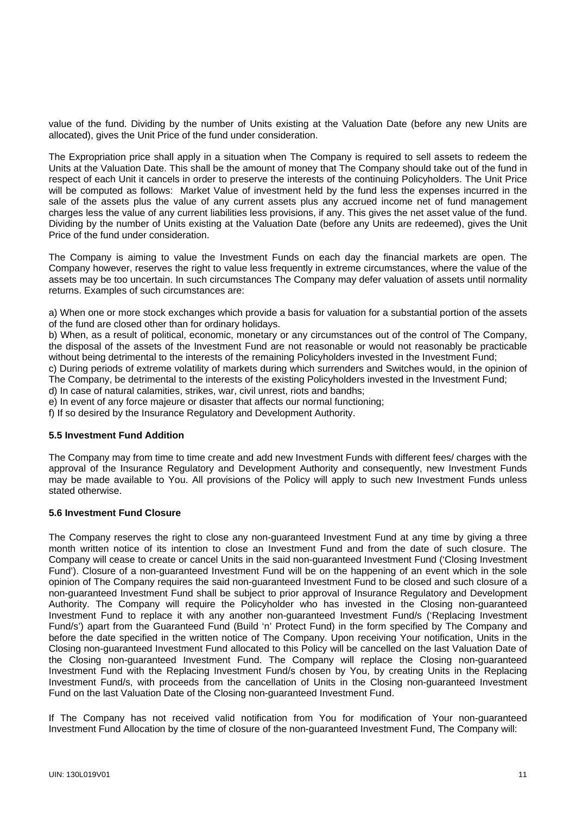value of the fund. Dividing by the number of Units existing at the Valuation Date (before any new Units are allocated), gives the Unit Price of the fund under consideration.

The Expropriation price shall apply in a situation when The Company is required to sell assets to redeem the Units at the Valuation Date. This shall be the amount of money that The Company should take out of the fund in respect of each Unit it cancels in order to preserve the interests of the continuing Policyholders. The Unit Price will be computed as follows: Market Value of investment held by the fund less the expenses incurred in the sale of the assets plus the value of any current assets plus any accrued income net of fund management charges less the value of any current liabilities less provisions, if any. This gives the net asset value of the fund. Dividing by the number of Units existing at the Valuation Date (before any Units are redeemed), gives the Unit Price of the fund under consideration.

The Company is aiming to value the Investment Funds on each day the financial markets are open. The Company however, reserves the right to value less frequently in extreme circumstances, where the value of the assets may be too uncertain. In such circumstances The Company may defer valuation of assets until normality returns. Examples of such circumstances are:

a) When one or more stock exchanges which provide a basis for valuation for a substantial portion of the assets of the fund are closed other than for ordinary holidays.

b) When, as a result of political, economic, monetary or any circumstances out of the control of The Company, the disposal of the assets of the Investment Fund are not reasonable or would not reasonably be practicable without being detrimental to the interests of the remaining Policyholders invested in the Investment Fund;

c) During periods of extreme volatility of markets during which surrenders and Switches would, in the opinion of The Company, be detrimental to the interests of the existing Policyholders invested in the Investment Fund;

d) In case of natural calamities, strikes, war, civil unrest, riots and bandhs;

e) In event of any force majeure or disaster that affects our normal functioning;

f) If so desired by the Insurance Regulatory and Development Authority.

### **5.5 Investment Fund Addition**

The Company may from time to time create and add new Investment Funds with different fees/ charges with the approval of the Insurance Regulatory and Development Authority and consequently, new Investment Funds may be made available to You. All provisions of the Policy will apply to such new Investment Funds unless stated otherwise.

### **5.6 Investment Fund Closure**

The Company reserves the right to close any non-guaranteed Investment Fund at any time by giving a three month written notice of its intention to close an Investment Fund and from the date of such closure. The Company will cease to create or cancel Units in the said non-guaranteed Investment Fund ('Closing Investment Fund'). Closure of a non-guaranteed Investment Fund will be on the happening of an event which in the sole opinion of The Company requires the said non-guaranteed Investment Fund to be closed and such closure of a non-guaranteed Investment Fund shall be subject to prior approval of Insurance Regulatory and Development Authority. The Company will require the Policyholder who has invested in the Closing non-guaranteed Investment Fund to replace it with any another non-guaranteed Investment Fund/s ('Replacing Investment Fund/s') apart from the Guaranteed Fund (Build 'n' Protect Fund) in the form specified by The Company and before the date specified in the written notice of The Company. Upon receiving Your notification, Units in the Closing non-guaranteed Investment Fund allocated to this Policy will be cancelled on the last Valuation Date of the Closing non-guaranteed Investment Fund. The Company will replace the Closing non-guaranteed Investment Fund with the Replacing Investment Fund/s chosen by You, by creating Units in the Replacing Investment Fund/s, with proceeds from the cancellation of Units in the Closing non-guaranteed Investment Fund on the last Valuation Date of the Closing non-guaranteed Investment Fund.

If The Company has not received valid notification from You for modification of Your non-guaranteed Investment Fund Allocation by the time of closure of the non-guaranteed Investment Fund, The Company will: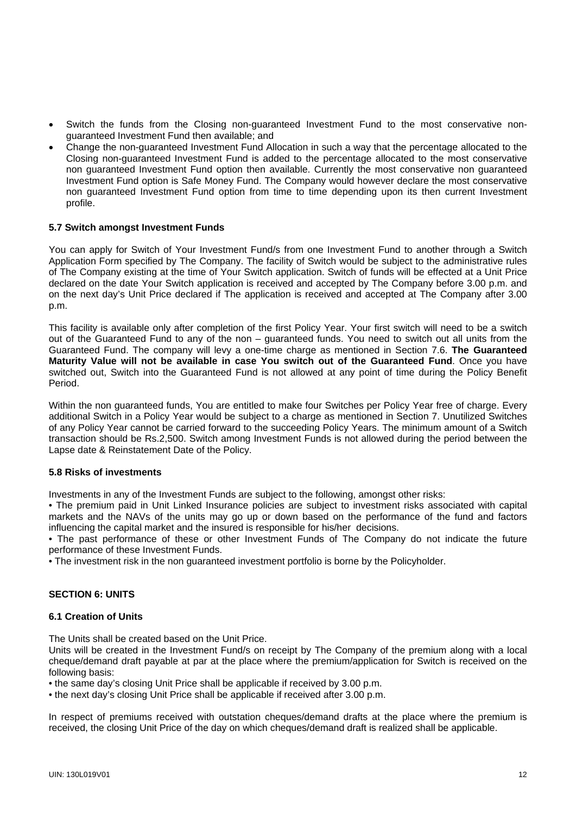- Switch the funds from the Closing non-guaranteed Investment Fund to the most conservative nonguaranteed Investment Fund then available; and
- Change the non-guaranteed Investment Fund Allocation in such a way that the percentage allocated to the Closing non-guaranteed Investment Fund is added to the percentage allocated to the most conservative non guaranteed Investment Fund option then available. Currently the most conservative non guaranteed Investment Fund option is Safe Money Fund. The Company would however declare the most conservative non guaranteed Investment Fund option from time to time depending upon its then current Investment profile.

### **5.7 Switch amongst Investment Funds**

You can apply for Switch of Your Investment Fund/s from one Investment Fund to another through a Switch Application Form specified by The Company. The facility of Switch would be subject to the administrative rules of The Company existing at the time of Your Switch application. Switch of funds will be effected at a Unit Price declared on the date Your Switch application is received and accepted by The Company before 3.00 p.m. and on the next day's Unit Price declared if The application is received and accepted at The Company after 3.00 p.m.

This facility is available only after completion of the first Policy Year. Your first switch will need to be a switch out of the Guaranteed Fund to any of the non – guaranteed funds. You need to switch out all units from the Guaranteed Fund. The company will levy a one-time charge as mentioned in Section 7.6. **The Guaranteed Maturity Value will not be available in case You switch out of the Guaranteed Fund**. Once you have switched out, Switch into the Guaranteed Fund is not allowed at any point of time during the Policy Benefit Period.

Within the non guaranteed funds, You are entitled to make four Switches per Policy Year free of charge. Every additional Switch in a Policy Year would be subject to a charge as mentioned in Section 7. Unutilized Switches of any Policy Year cannot be carried forward to the succeeding Policy Years. The minimum amount of a Switch transaction should be Rs.2,500. Switch among Investment Funds is not allowed during the period between the Lapse date & Reinstatement Date of the Policy.

### **5.8 Risks of investments**

Investments in any of the Investment Funds are subject to the following, amongst other risks:

 • The premium paid in Unit Linked Insurance policies are subject to investment risks associated with capital markets and the NAVs of the units may go up or down based on the performance of the fund and factors influencing the capital market and the insured is responsible for his/her decisions.

 • The past performance of these or other Investment Funds of The Company do not indicate the future performance of these Investment Funds.

• The investment risk in the non guaranteed investment portfolio is borne by the Policyholder.

### **SECTION 6: UNITS**

### **6.1 Creation of Units**

The Units shall be created based on the Unit Price.

Units will be created in the Investment Fund/s on receipt by The Company of the premium along with a local cheque/demand draft payable at par at the place where the premium/application for Switch is received on the following basis:

• the same day's closing Unit Price shall be applicable if received by 3.00 p.m.

• the next day's closing Unit Price shall be applicable if received after 3.00 p.m.

In respect of premiums received with outstation cheques/demand drafts at the place where the premium is received, the closing Unit Price of the day on which cheques/demand draft is realized shall be applicable.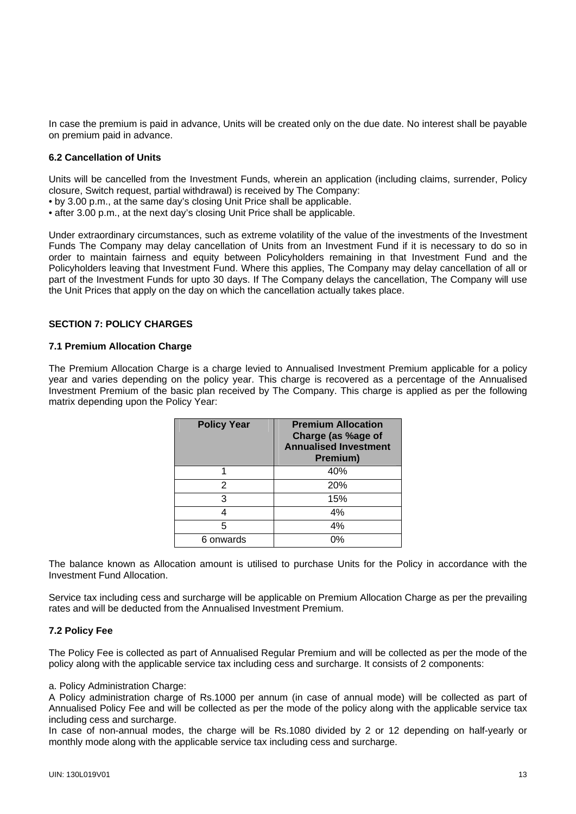In case the premium is paid in advance, Units will be created only on the due date. No interest shall be payable on premium paid in advance.

### **6.2 Cancellation of Units**

Units will be cancelled from the Investment Funds, wherein an application (including claims, surrender, Policy closure, Switch request, partial withdrawal) is received by The Company:

• by 3.00 p.m., at the same day's closing Unit Price shall be applicable.

• after 3.00 p.m., at the next day's closing Unit Price shall be applicable.

Under extraordinary circumstances, such as extreme volatility of the value of the investments of the Investment Funds The Company may delay cancellation of Units from an Investment Fund if it is necessary to do so in order to maintain fairness and equity between Policyholders remaining in that Investment Fund and the Policyholders leaving that Investment Fund. Where this applies, The Company may delay cancellation of all or part of the Investment Funds for upto 30 days. If The Company delays the cancellation, The Company will use the Unit Prices that apply on the day on which the cancellation actually takes place.

### **SECTION 7: POLICY CHARGES**

### **7.1 Premium Allocation Charge**

The Premium Allocation Charge is a charge levied to Annualised Investment Premium applicable for a policy year and varies depending on the policy year. This charge is recovered as a percentage of the Annualised Investment Premium of the basic plan received by The Company. This charge is applied as per the following matrix depending upon the Policy Year:

| <b>Policy Year</b> | <b>Premium Allocation</b><br>Charge (as %age of<br><b>Annualised Investment</b><br>Premium) |
|--------------------|---------------------------------------------------------------------------------------------|
|                    | 40%                                                                                         |
| 2                  | 20%                                                                                         |
| 3                  | 15%                                                                                         |
|                    | 4%                                                                                          |
| 5                  | 4%                                                                                          |
| 6 onwards          | በ%                                                                                          |

The balance known as Allocation amount is utilised to purchase Units for the Policy in accordance with the Investment Fund Allocation.

Service tax including cess and surcharge will be applicable on Premium Allocation Charge as per the prevailing rates and will be deducted from the Annualised Investment Premium.

### **7.2 Policy Fee**

The Policy Fee is collected as part of Annualised Regular Premium and will be collected as per the mode of the policy along with the applicable service tax including cess and surcharge. It consists of 2 components:

### a. Policy Administration Charge:

A Policy administration charge of Rs.1000 per annum (in case of annual mode) will be collected as part of Annualised Policy Fee and will be collected as per the mode of the policy along with the applicable service tax including cess and surcharge.

In case of non-annual modes, the charge will be Rs.1080 divided by 2 or 12 depending on half-yearly or monthly mode along with the applicable service tax including cess and surcharge.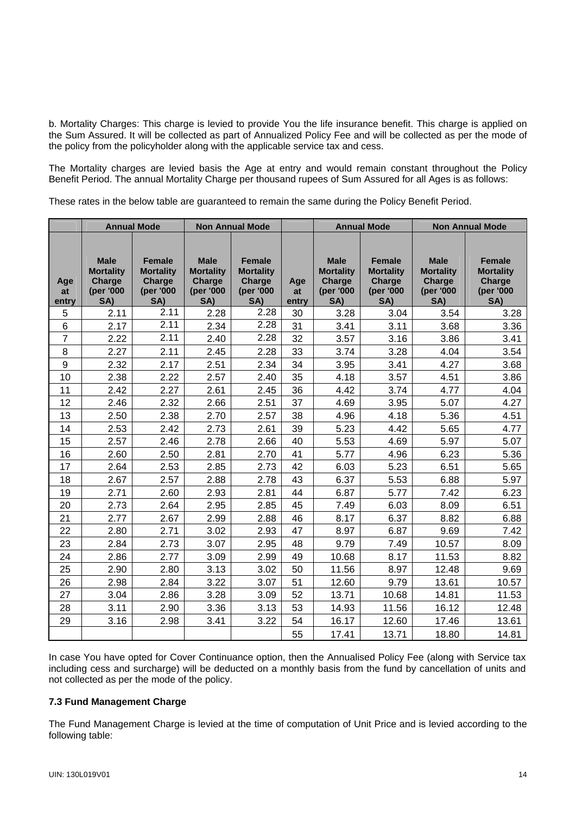b. Mortality Charges: This charge is levied to provide You the life insurance benefit. This charge is applied on the Sum Assured. It will be collected as part of Annualized Policy Fee and will be collected as per the mode of the policy from the policyholder along with the applicable service tax and cess.

The Mortality charges are levied basis the Age at entry and would remain constant throughout the Policy Benefit Period. The annual Mortality Charge per thousand rupees of Sum Assured for all Ages is as follows:

These rates in the below table are guaranteed to remain the same during the Policy Benefit Period.

|                    | <b>Annual Mode</b>                                            |                                                                        | <b>Non Annual Mode</b>                                        |                                                                        |                    | <b>Annual Mode</b>                                            |                                                                 | <b>Non Annual Mode</b>                                        |                                                                 |
|--------------------|---------------------------------------------------------------|------------------------------------------------------------------------|---------------------------------------------------------------|------------------------------------------------------------------------|--------------------|---------------------------------------------------------------|-----------------------------------------------------------------|---------------------------------------------------------------|-----------------------------------------------------------------|
| Age<br>at<br>entry | <b>Male</b><br><b>Mortality</b><br>Charge<br>(per '000<br>SA) | <b>Female</b><br><b>Mortality</b><br><b>Charge</b><br>(per '000<br>SA) | <b>Male</b><br><b>Mortality</b><br>Charge<br>(per '000<br>SA) | <b>Female</b><br><b>Mortality</b><br><b>Charge</b><br>(per '000<br>SA) | Age<br>at<br>entry | <b>Male</b><br><b>Mortality</b><br>Charge<br>(per '000<br>SA) | <b>Female</b><br><b>Mortality</b><br>Charge<br>(per '000<br>SA) | Male<br><b>Mortality</b><br><b>Charge</b><br>(per '000<br>SA) | <b>Female</b><br><b>Mortality</b><br>Charge<br>(per '000<br>SA) |
| 5                  | 2.11                                                          | 2.11                                                                   | 2.28                                                          | 2.28                                                                   | 30                 | 3.28                                                          | 3.04                                                            | 3.54                                                          | 3.28                                                            |
| $6\phantom{1}6$    | 2.17                                                          | 2.11                                                                   | 2.34                                                          | 2.28                                                                   | 31                 | 3.41                                                          | 3.11                                                            | 3.68                                                          | 3.36                                                            |
| $\overline{7}$     | 2.22                                                          | 2.11                                                                   | 2.40                                                          | 2.28                                                                   | 32                 | 3.57                                                          | 3.16                                                            | 3.86                                                          | 3.41                                                            |
| 8                  | 2.27                                                          | 2.11                                                                   | 2.45                                                          | 2.28                                                                   | 33                 | 3.74                                                          | 3.28                                                            | 4.04                                                          | 3.54                                                            |
| 9                  | 2.32                                                          | 2.17                                                                   | 2.51                                                          | 2.34                                                                   | 34                 | 3.95                                                          | 3.41                                                            | 4.27                                                          | 3.68                                                            |
| 10                 | 2.38                                                          | 2.22                                                                   | 2.57                                                          | 2.40                                                                   | 35                 | 4.18                                                          | 3.57                                                            | 4.51                                                          | 3.86                                                            |
| 11                 | 2.42                                                          | 2.27                                                                   | 2.61                                                          | 2.45                                                                   | 36                 | 4.42                                                          | 3.74                                                            | 4.77                                                          | 4.04                                                            |
| 12                 | 2.46                                                          | 2.32                                                                   | 2.66                                                          | 2.51                                                                   | 37                 | 4.69                                                          | 3.95                                                            | 5.07                                                          | 4.27                                                            |
| 13                 | 2.50                                                          | 2.38                                                                   | 2.70                                                          | 2.57                                                                   | 38                 | 4.96                                                          | 4.18                                                            | 5.36                                                          | 4.51                                                            |
| 14                 | 2.53                                                          | 2.42                                                                   | 2.73                                                          | 2.61                                                                   | 39                 | 5.23                                                          | 4.42                                                            | 5.65                                                          | 4.77                                                            |
| 15                 | 2.57                                                          | 2.46                                                                   | 2.78                                                          | 2.66                                                                   | 40                 | 5.53                                                          | 4.69                                                            | 5.97                                                          | 5.07                                                            |
| 16                 | 2.60                                                          | 2.50                                                                   | 2.81                                                          | 2.70                                                                   | 41                 | 5.77                                                          | 4.96                                                            | 6.23                                                          | 5.36                                                            |
| 17                 | 2.64                                                          | 2.53                                                                   | 2.85                                                          | 2.73                                                                   | 42                 | 6.03                                                          | 5.23                                                            | 6.51                                                          | 5.65                                                            |
| 18                 | 2.67                                                          | 2.57                                                                   | 2.88                                                          | 2.78                                                                   | 43                 | 6.37                                                          | 5.53                                                            | 6.88                                                          | 5.97                                                            |
| 19                 | 2.71                                                          | 2.60                                                                   | 2.93                                                          | 2.81                                                                   | 44                 | 6.87                                                          | 5.77                                                            | 7.42                                                          | 6.23                                                            |
| 20                 | 2.73                                                          | 2.64                                                                   | 2.95                                                          | 2.85                                                                   | 45                 | 7.49                                                          | 6.03                                                            | 8.09                                                          | 6.51                                                            |
| 21                 | 2.77                                                          | 2.67                                                                   | 2.99                                                          | 2.88                                                                   | 46                 | 8.17                                                          | 6.37                                                            | 8.82                                                          | 6.88                                                            |
| 22                 | 2.80                                                          | 2.71                                                                   | 3.02                                                          | 2.93                                                                   | 47                 | 8.97                                                          | 6.87                                                            | 9.69                                                          | 7.42                                                            |
| 23                 | 2.84                                                          | 2.73                                                                   | 3.07                                                          | 2.95                                                                   | 48                 | 9.79                                                          | 7.49                                                            | 10.57                                                         | 8.09                                                            |
| 24                 | 2.86                                                          | 2.77                                                                   | 3.09                                                          | 2.99                                                                   | 49                 | 10.68                                                         | 8.17                                                            | 11.53                                                         | 8.82                                                            |
| 25                 | 2.90                                                          | 2.80                                                                   | 3.13                                                          | 3.02                                                                   | 50                 | 11.56                                                         | 8.97                                                            | 12.48                                                         | 9.69                                                            |
| 26                 | 2.98                                                          | 2.84                                                                   | 3.22                                                          | 3.07                                                                   | 51                 | 12.60                                                         | 9.79                                                            | 13.61                                                         | 10.57                                                           |
| 27                 | 3.04                                                          | 2.86                                                                   | 3.28                                                          | 3.09                                                                   | 52                 | 13.71                                                         | 10.68                                                           | 14.81                                                         | 11.53                                                           |
| 28                 | 3.11                                                          | 2.90                                                                   | 3.36                                                          | 3.13                                                                   | 53                 | 14.93                                                         | 11.56                                                           | 16.12                                                         | 12.48                                                           |
| 29                 | 3.16                                                          | 2.98                                                                   | 3.41                                                          | 3.22                                                                   | 54                 | 16.17                                                         | 12.60                                                           | 17.46                                                         | 13.61                                                           |
|                    |                                                               |                                                                        |                                                               |                                                                        | 55                 | 17.41                                                         | 13.71                                                           | 18.80                                                         | 14.81                                                           |

In case You have opted for Cover Continuance option, then the Annualised Policy Fee (along with Service tax including cess and surcharge) will be deducted on a monthly basis from the fund by cancellation of units and not collected as per the mode of the policy.

# **7.3 Fund Management Charge**

The Fund Management Charge is levied at the time of computation of Unit Price and is levied according to the following table: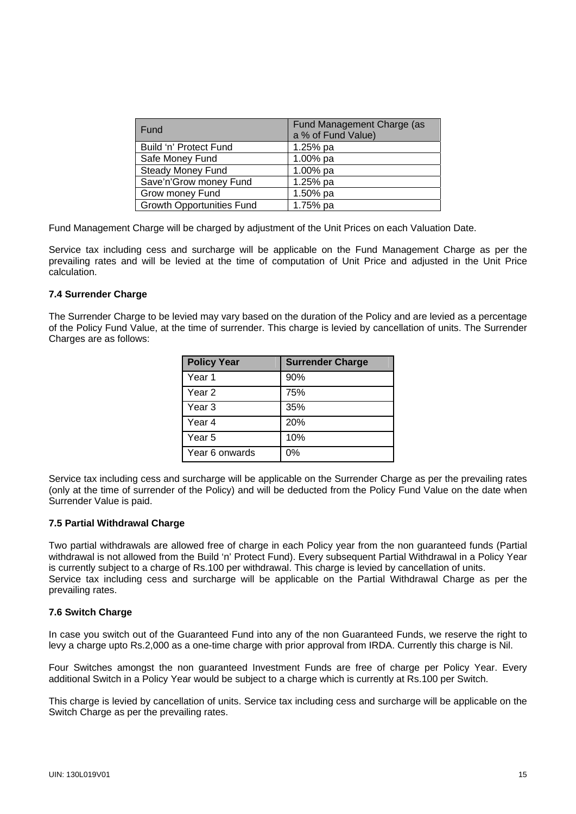| Fund                             | Fund Management Charge (as<br>a % of Fund Value) |
|----------------------------------|--------------------------------------------------|
| Build 'n' Protect Fund           | 1.25% pa                                         |
| Safe Money Fund                  | 1.00% pa                                         |
| <b>Steady Money Fund</b>         | 1.00% pa                                         |
| Save'n'Grow money Fund           | 1.25% pa                                         |
| Grow money Fund                  | 1.50% pa                                         |
| <b>Growth Opportunities Fund</b> | 1.75% pa                                         |

Fund Management Charge will be charged by adjustment of the Unit Prices on each Valuation Date.

Service tax including cess and surcharge will be applicable on the Fund Management Charge as per the prevailing rates and will be levied at the time of computation of Unit Price and adjusted in the Unit Price calculation.

### **7.4 Surrender Charge**

The Surrender Charge to be levied may vary based on the duration of the Policy and are levied as a percentage of the Policy Fund Value, at the time of surrender. This charge is levied by cancellation of units. The Surrender Charges are as follows:

| <b>Policy Year</b> | <b>Surrender Charge</b> |
|--------------------|-------------------------|
| Year 1             | 90%                     |
| Year 2             | 75%                     |
| Year <sub>3</sub>  | 35%                     |
| Year 4             | 20%                     |
| Year 5             | 10%                     |
| Year 6 onwards     | 0%                      |

Service tax including cess and surcharge will be applicable on the Surrender Charge as per the prevailing rates (only at the time of surrender of the Policy) and will be deducted from the Policy Fund Value on the date when Surrender Value is paid.

### **7.5 Partial Withdrawal Charge**

Two partial withdrawals are allowed free of charge in each Policy year from the non guaranteed funds (Partial withdrawal is not allowed from the Build 'n' Protect Fund). Every subsequent Partial Withdrawal in a Policy Year is currently subject to a charge of Rs.100 per withdrawal. This charge is levied by cancellation of units. Service tax including cess and surcharge will be applicable on the Partial Withdrawal Charge as per the prevailing rates.

### **7.6 Switch Charge**

In case you switch out of the Guaranteed Fund into any of the non Guaranteed Funds, we reserve the right to levy a charge upto Rs.2,000 as a one-time charge with prior approval from IRDA. Currently this charge is Nil.

Four Switches amongst the non guaranteed Investment Funds are free of charge per Policy Year. Every additional Switch in a Policy Year would be subject to a charge which is currently at Rs.100 per Switch.

This charge is levied by cancellation of units. Service tax including cess and surcharge will be applicable on the Switch Charge as per the prevailing rates.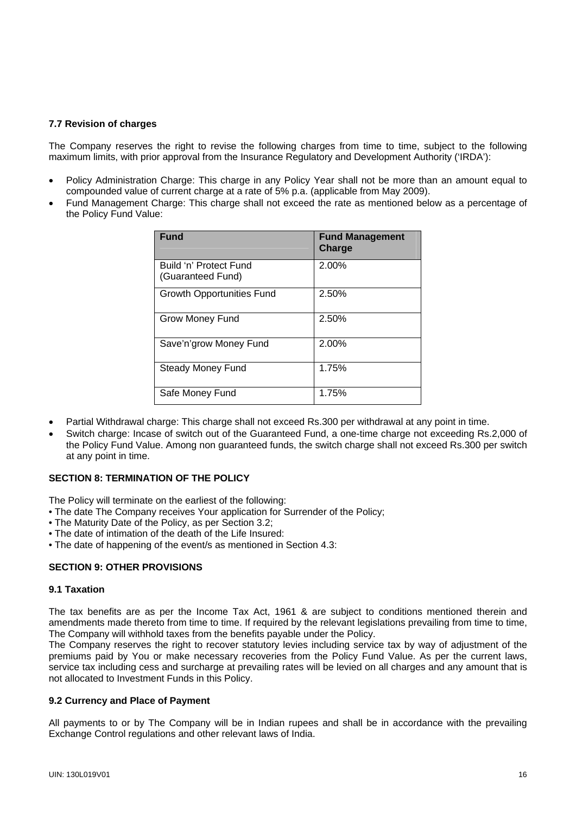### **7.7 Revision of charges**

The Company reserves the right to revise the following charges from time to time, subject to the following maximum limits, with prior approval from the Insurance Regulatory and Development Authority ('IRDA'):

- Policy Administration Charge: This charge in any Policy Year shall not be more than an amount equal to compounded value of current charge at a rate of 5% p.a. (applicable from May 2009).
- Fund Management Charge: This charge shall not exceed the rate as mentioned below as a percentage of the Policy Fund Value:

| <b>Fund</b>                                 | <b>Fund Management</b><br>Charge |
|---------------------------------------------|----------------------------------|
| Build 'n' Protect Fund<br>(Guaranteed Fund) | 2.00%                            |
| <b>Growth Opportunities Fund</b>            | 2.50%                            |
| <b>Grow Money Fund</b>                      | 2.50%                            |
| Save'n'grow Money Fund                      | 2.00%                            |
| <b>Steady Money Fund</b>                    | 1.75%                            |
| Safe Money Fund                             | 1.75%                            |

- Partial Withdrawal charge: This charge shall not exceed Rs.300 per withdrawal at any point in time.
- Switch charge: Incase of switch out of the Guaranteed Fund, a one-time charge not exceeding Rs.2,000 of the Policy Fund Value. Among non guaranteed funds, the switch charge shall not exceed Rs.300 per switch at any point in time.

# **SECTION 8: TERMINATION OF THE POLICY**

The Policy will terminate on the earliest of the following:

- The date The Company receives Your application for Surrender of the Policy;
- The Maturity Date of the Policy, as per Section 3.2;
- The date of intimation of the death of the Life Insured:
- The date of happening of the event/s as mentioned in Section 4.3:

### **SECTION 9: OTHER PROVISIONS**

#### **9.1 Taxation**

The tax benefits are as per the Income Tax Act, 1961 & are subject to conditions mentioned therein and amendments made thereto from time to time. If required by the relevant legislations prevailing from time to time, The Company will withhold taxes from the benefits payable under the Policy.

The Company reserves the right to recover statutory levies including service tax by way of adjustment of the premiums paid by You or make necessary recoveries from the Policy Fund Value. As per the current laws, service tax including cess and surcharge at prevailing rates will be levied on all charges and any amount that is not allocated to Investment Funds in this Policy.

### **9.2 Currency and Place of Payment**

All payments to or by The Company will be in Indian rupees and shall be in accordance with the prevailing Exchange Control regulations and other relevant laws of India.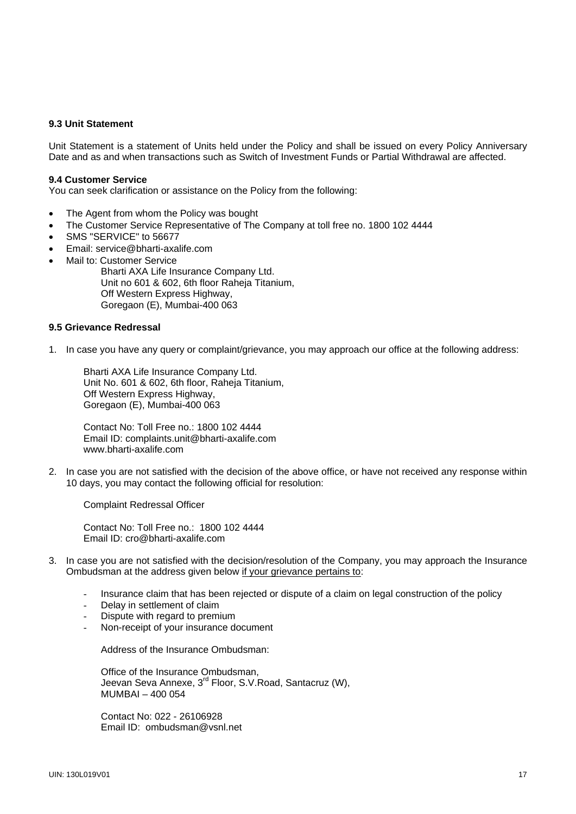### **9.3 Unit Statement**

Unit Statement is a statement of Units held under the Policy and shall be issued on every Policy Anniversary Date and as and when transactions such as Switch of Investment Funds or Partial Withdrawal are affected.

### **9.4 Customer Service**

You can seek clarification or assistance on the Policy from the following:

- The Agent from whom the Policy was bought
- The Customer Service Representative of The Company at toll free no. 1800 102 4444
- SMS "SERVICE" to 56677
- Email: service@bharti-axalife.com
- Mail to: Customer Service
	- Bharti AXA Life Insurance Company Ltd. Unit no 601 & 602, 6th floor Raheja Titanium, Off Western Express Highway, Goregaon (E), Mumbai-400 063

### **9.5 Grievance Redressal**

1. In case you have any query or complaint/grievance, you may approach our office at the following address:

Bharti AXA Life Insurance Company Ltd. Unit No. 601 & 602, 6th floor, Raheja Titanium, Off Western Express Highway, Goregaon (E), Mumbai-400 063

 Contact No: Toll Free no.: 1800 102 4444 Email ID: complaints.unit@bharti-axalife.com www.bharti-axalife.com

2. In case you are not satisfied with the decision of the above office, or have not received any response within 10 days, you may contact the following official for resolution:

Complaint Redressal Officer

 Contact No: Toll Free no.: 1800 102 4444 Email ID: [cro@bharti-axalife.com](mailto:cro@bharti-axalife.com)

- 3. In case you are not satisfied with the decision/resolution of the Company, you may approach the Insurance Ombudsman at the address given below if your grievance pertains to:
	- Insurance claim that has been rejected or dispute of a claim on legal construction of the policy
	- Delay in settlement of claim
	- Dispute with regard to premium
	- Non-receipt of your insurance document

Address of the Insurance Ombudsman:

Office of the Insurance Ombudsman, Jeevan Seva Annexe, 3rd Floor, S.V.Road, Santacruz (W), MUMBAI – 400 054

 Contact No: 022 - 26106928 Email ID: [ombudsman@vsnl.net](mailto:ombudsman@vsnl.net)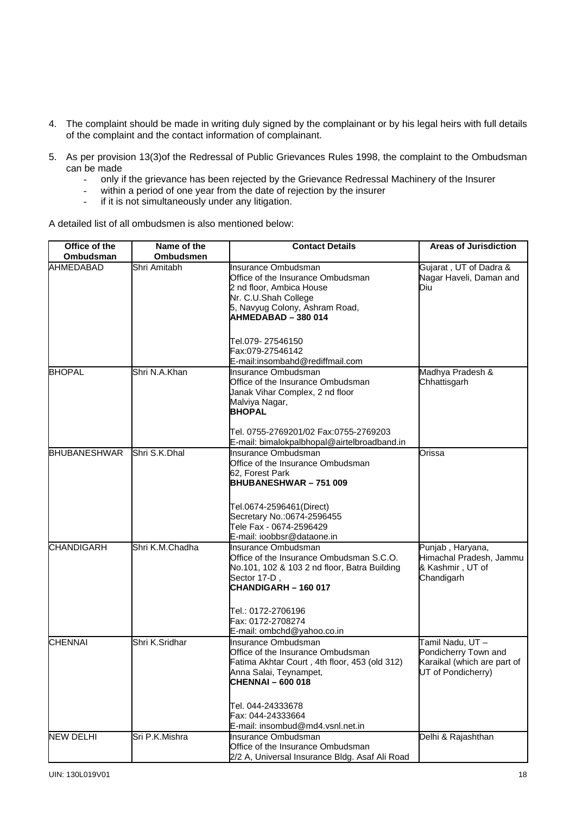- 4. The complaint should be made in writing duly signed by the complainant or by his legal heirs with full details of the complaint and the contact information of complainant.
- 5. As per provision 13(3)of the Redressal of Public Grievances Rules 1998, the complaint to the Ombudsman can be made
	- only if the grievance has been rejected by the Grievance Redressal Machinery of the Insurer
	- within a period of one year from the date of rejection by the insurer
	- if it is not simultaneously under any litigation.

A detailed list of all ombudsmen is also mentioned below:

| Office of the<br>Name of the |                 | <b>Contact Details</b>                                                                                                                                                                                                                     | <b>Areas of Jurisdiction</b>                                                                 |  |
|------------------------------|-----------------|--------------------------------------------------------------------------------------------------------------------------------------------------------------------------------------------------------------------------------------------|----------------------------------------------------------------------------------------------|--|
| Ombudsman                    | Ombudsmen       |                                                                                                                                                                                                                                            |                                                                                              |  |
| <b>AHMEDABAD</b>             | Shri Amitabh    | Insurance Ombudsman<br>Office of the Insurance Ombudsman<br>2 nd floor, Ambica House<br>Nr. C.U.Shah College<br>5, Navyug Colony, Ashram Road,<br>AHMEDABAD - 380 014                                                                      | Gujarat, UT of Dadra &<br>Nagar Haveli, Daman and<br>Diu                                     |  |
|                              |                 | Tel.079- 27546150<br>Fax:079-27546142<br>E-mail:insombahd@rediffmail.com                                                                                                                                                                   |                                                                                              |  |
| <b>BHOPAL</b>                | Shri N.A.Khan   | Insurance Ombudsman<br>Office of the Insurance Ombudsman<br>Janak Vihar Complex, 2 nd floor<br>Malviya Nagar,<br><b>BHOPAL</b><br>Tel. 0755-2769201/02 Fax:0755-2769203                                                                    | Madhya Pradesh &<br>Chhattisgarh                                                             |  |
|                              |                 | E-mail: bimalokpalbhopal@airtelbroadband.in                                                                                                                                                                                                |                                                                                              |  |
| <b>BHUBANESHWAR</b>          | Shri S.K.Dhal   | Insurance Ombudsman<br>Office of the Insurance Ombudsman<br>62, Forest Park<br>BHUBANESHWAR-751009<br>Tel.0674-2596461(Direct)<br>Secretary No.: 0674-2596455<br>Tele Fax - 0674-2596429<br>E-mail: ioobbsr@dataone.in                     | Orissa                                                                                       |  |
| <b>CHANDIGARH</b>            | Shri K.M.Chadha | Insurance Ombudsman<br>Office of the Insurance Ombudsman S.C.O.<br>No.101, 102 & 103 2 nd floor, Batra Building<br>Sector 17-D,<br>CHANDIGARH - 160 017<br>Tel.: 0172-2706196<br>Fax: 0172-2708274<br>E-mail: ombchd@yahoo.co.in           | Punjab, Haryana,<br>Himachal Pradesh, Jammu<br>& Kashmir, UT of<br>Chandigarh                |  |
| <b>CHENNAI</b>               | Shri K.Sridhar  | Insurance Ombudsman<br>Office of the Insurance Ombudsman<br>Fatima Akhtar Court, 4th floor, 453 (old 312)<br>Anna Salai, Teynampet,<br><b>CHENNAI-600018</b><br>Tel. 044-24333678<br>Fax: 044-24333664<br>E-mail: insombud@md4.vsnl.net.in | Tamil Nadu, UT-<br>Pondicherry Town and<br>Karaikal (which are part of<br>UT of Pondicherry) |  |
| <b>NEW DELHI</b>             | Sri P.K.Mishra  | Insurance Ombudsman<br>Office of the Insurance Ombudsman<br>2/2 A, Universal Insurance Bldg. Asaf Ali Road                                                                                                                                 | Delhi & Rajashthan                                                                           |  |